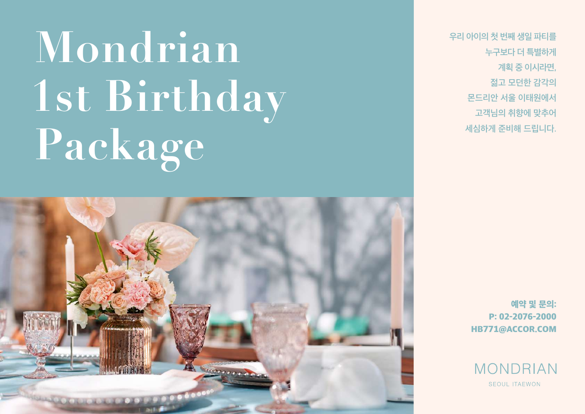# **Mondrian 1st Birthday Package**



우리 아이의 첫 번째 생일 파티를 누구보다 더 특별하게 계획 중 이시라면, 젊고 모던한 감각의 몬드리안 서울 이태원에서 고객님의 취향에 맞추어 세심하게 준비해 드립니다.

> 예약 및 문의: P: 02-2076-2000 HB771@ACCOR.COM

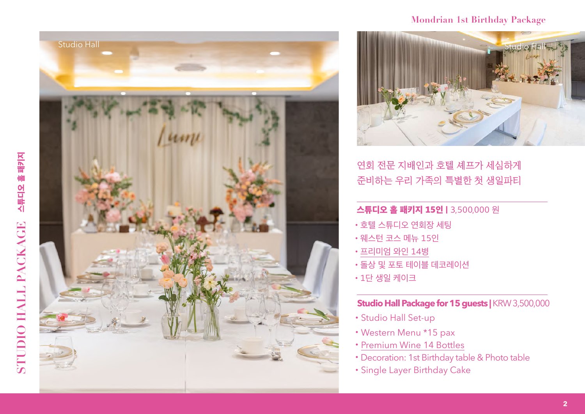



## **Mondrian 1st Birthday Package**



연회 전문 지배인과 호텔 셰프가 세심하게 준비하는 우리 가족의 특별한 첫 생일파티

# 스튜디오 홀 패키지 15인 | 3,500,000 원

- •호텔 스튜디오 연회장 세팅
- •웨스턴 코스 메뉴 15<mark>인</mark><br>•프리미엄 와인 14병
- 
- •돌상 및 포토 테이블 데코레이션
- •1단 생일 케이크

## **Studio Hall Package for 15 guests |** KRW 3,500,000

- •Studio Hall Set-up
- •Western Menu \*15 pax
- •Premium Wine 14 Bottles
- •Decoration: 1st Birthday table & Photo table
- •Single Layer Birthday Cake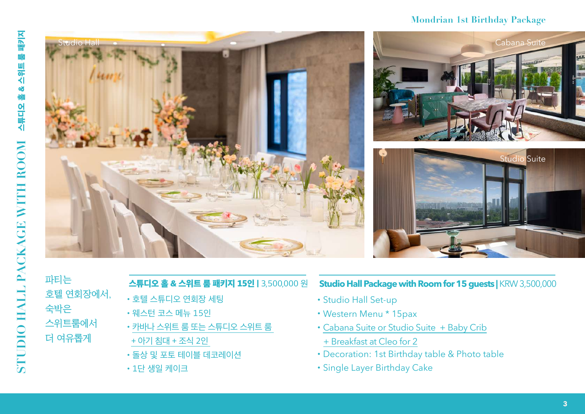#### **Mondrian 1st Birthday Package**



파티는 호텔 연회장에서, 숙박은 스위트룸에서 더 여유롭게

### 스튜디오 홀 & 스위트 룸 패키지 15인 | 3,500,000 원

- •호텔 스튜디오 연회장 세팅
- •웨스턴 코스 메뉴 15인
- •카바나 스위트 룸 또는 스튜디오 스위트 룸
- + 아기 침대 + 조식 2인
- •돌상 및 포토 테이블 데코레이션
- •1단 생일 케이크

#### **Studio Hall Package with Room for 15 guests |** KRW 3,500,000

- •Studio Hall Set-up
- •Western Menu \* 15pax
- •Cabana Suite or Studio Suite + Baby Crib
- + Breakfast at Cleo for 2
- •Decoration: 1st Birthday table & Photo table
- •Single Layer Birthday Cake